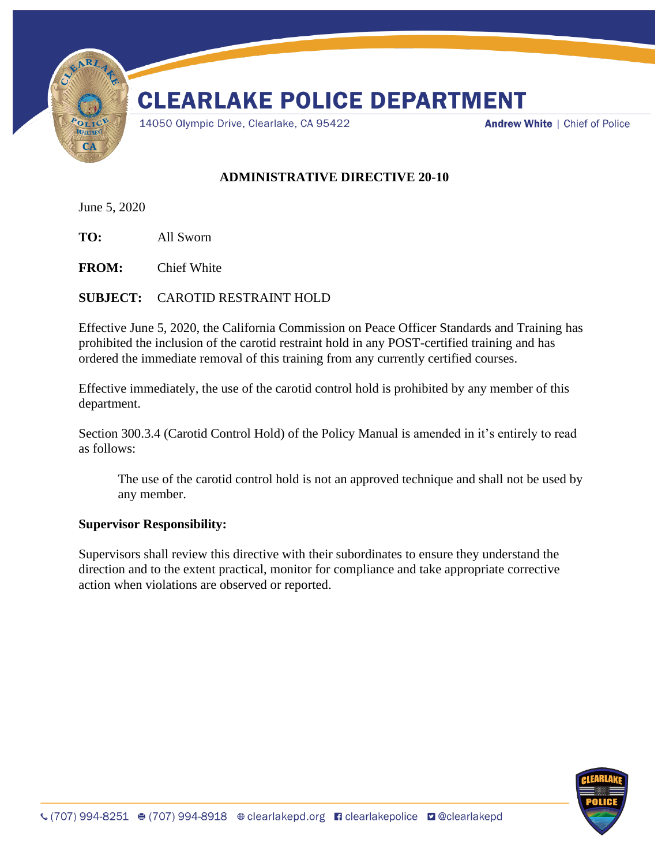

## **ADMINISTRATIVE DIRECTIVE 20-10**

June 5, 2020

**TO:** All Sworn

**FROM:** Chief White

## **SUBJECT:** CAROTID RESTRAINT HOLD

Effective June 5, 2020, the California Commission on Peace Officer Standards and Training has prohibited the inclusion of the carotid restraint hold in any POST-certified training and has ordered the immediate removal of this training from any currently certified courses.

Effective immediately, the use of the carotid control hold is prohibited by any member of this department.

Section 300.3.4 (Carotid Control Hold) of the Policy Manual is amended in it's entirely to read as follows:

The use of the carotid control hold is not an approved technique and shall not be used by any member.

## **Supervisor Responsibility:**

Supervisors shall review this directive with their subordinates to ensure they understand the direction and to the extent practical, monitor for compliance and take appropriate corrective action when violations are observed or reported.